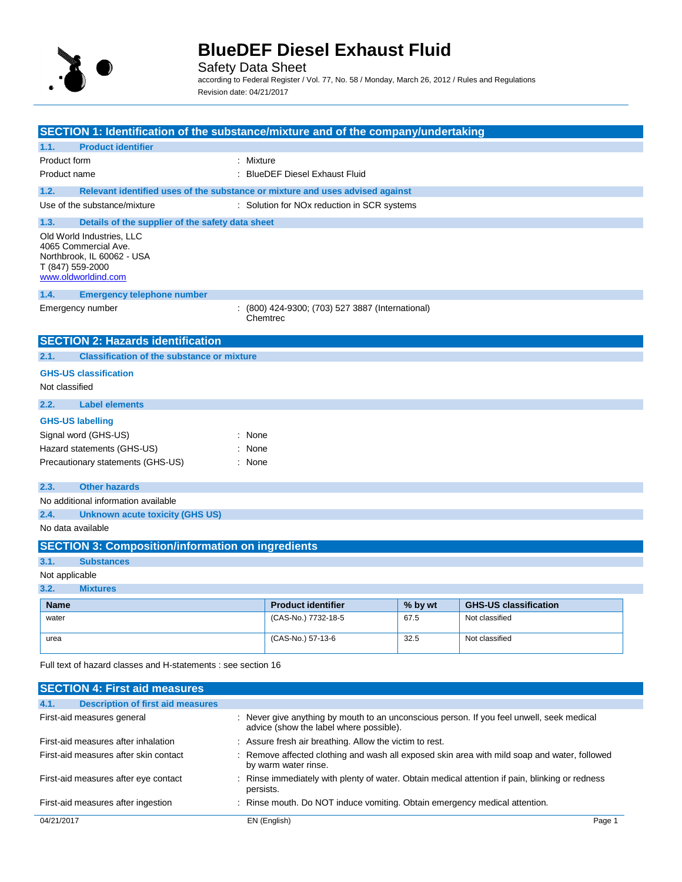

Safety Data Sheet according to Federal Register / Vol. 77, No. 58 / Monday, March 26, 2012 / Rules and Regulations Revision date: 04/21/2017

|                              | SECTION 1: Identification of the substance/mixture and of the company/undertaking                      |                                                              |         |                              |  |
|------------------------------|--------------------------------------------------------------------------------------------------------|--------------------------------------------------------------|---------|------------------------------|--|
|                              |                                                                                                        |                                                              |         |                              |  |
| 1.1.                         | <b>Product identifier</b>                                                                              |                                                              |         |                              |  |
| Product form<br>Product name | : Mixture                                                                                              | : BlueDEF Diesel Exhaust Fluid                               |         |                              |  |
|                              |                                                                                                        |                                                              |         |                              |  |
| 1.2.                         | Relevant identified uses of the substance or mixture and uses advised against                          |                                                              |         |                              |  |
|                              | Use of the substance/mixture                                                                           | : Solution for NOx reduction in SCR systems                  |         |                              |  |
| 1.3.                         | Details of the supplier of the safety data sheet                                                       |                                                              |         |                              |  |
| T (847) 559-2000             | Old World Industries, LLC<br>4065 Commercial Ave.<br>Northbrook, IL 60062 - USA<br>www.oldworldind.com |                                                              |         |                              |  |
| 1.4.                         | <b>Emergency telephone number</b>                                                                      |                                                              |         |                              |  |
|                              | Emergency number                                                                                       | : (800) 424-9300; (703) 527 3887 (International)<br>Chemtrec |         |                              |  |
|                              | <b>SECTION 2: Hazards identification</b>                                                               |                                                              |         |                              |  |
| 2.1.                         | <b>Classification of the substance or mixture</b>                                                      |                                                              |         |                              |  |
|                              | <b>GHS-US classification</b>                                                                           |                                                              |         |                              |  |
| Not classified               |                                                                                                        |                                                              |         |                              |  |
| 2.2.                         | <b>Label elements</b>                                                                                  |                                                              |         |                              |  |
|                              | <b>GHS-US labelling</b>                                                                                |                                                              |         |                              |  |
|                              | Signal word (GHS-US)<br>: None                                                                         |                                                              |         |                              |  |
|                              | Hazard statements (GHS-US)<br>: None                                                                   |                                                              |         |                              |  |
|                              | Precautionary statements (GHS-US)<br>: None                                                            |                                                              |         |                              |  |
| 2.3.                         | <b>Other hazards</b>                                                                                   |                                                              |         |                              |  |
|                              | No additional information available                                                                    |                                                              |         |                              |  |
| 2.4.                         | <b>Unknown acute toxicity (GHS US)</b>                                                                 |                                                              |         |                              |  |
| No data available            |                                                                                                        |                                                              |         |                              |  |
|                              | <b>SECTION 3: Composition/information on ingredients</b>                                               |                                                              |         |                              |  |
| 3.1.                         | <b>Substances</b>                                                                                      |                                                              |         |                              |  |
| Not applicable               |                                                                                                        |                                                              |         |                              |  |
| 3.2.                         | <b>Mixtures</b>                                                                                        |                                                              |         |                              |  |
| <b>Name</b>                  |                                                                                                        | <b>Product identifier</b>                                    | % by wt | <b>GHS-US classification</b> |  |
| water                        |                                                                                                        | (CAS-No.) 7732-18-5                                          | 67.5    | Not classified               |  |
| urea                         |                                                                                                        | (CAS-No.) 57-13-6                                            | 32.5    | Not classified               |  |
|                              | Full text of hazard classes and H-statements : see section 16                                          |                                                              |         |                              |  |
|                              | <b>SECTION 4: First aid measures</b>                                                                   |                                                              |         |                              |  |
| 4.1.                         | <b>Description of first aid measures</b>                                                               |                                                              |         |                              |  |
|                              |                                                                                                        |                                                              |         |                              |  |

| First-aid measures general            | : Never give anything by mouth to an unconscious person. If you feel unwell, seek medical<br>advice (show the label where possible). |        |
|---------------------------------------|--------------------------------------------------------------------------------------------------------------------------------------|--------|
| First-aid measures after inhalation   | : Assure fresh air breathing. Allow the victim to rest.                                                                              |        |
| First-aid measures after skin contact | : Remove affected clothing and wash all exposed skin area with mild soap and water, followed<br>by warm water rinse.                 |        |
| First-aid measures after eye contact  | : Rinse immediately with plenty of water. Obtain medical attention if pain, blinking or redness<br>persists.                         |        |
| First-aid measures after ingestion    | : Rinse mouth. Do NOT induce vomiting. Obtain emergency medical attention.                                                           |        |
| 04/21/2017                            | EN (English)                                                                                                                         | Page 1 |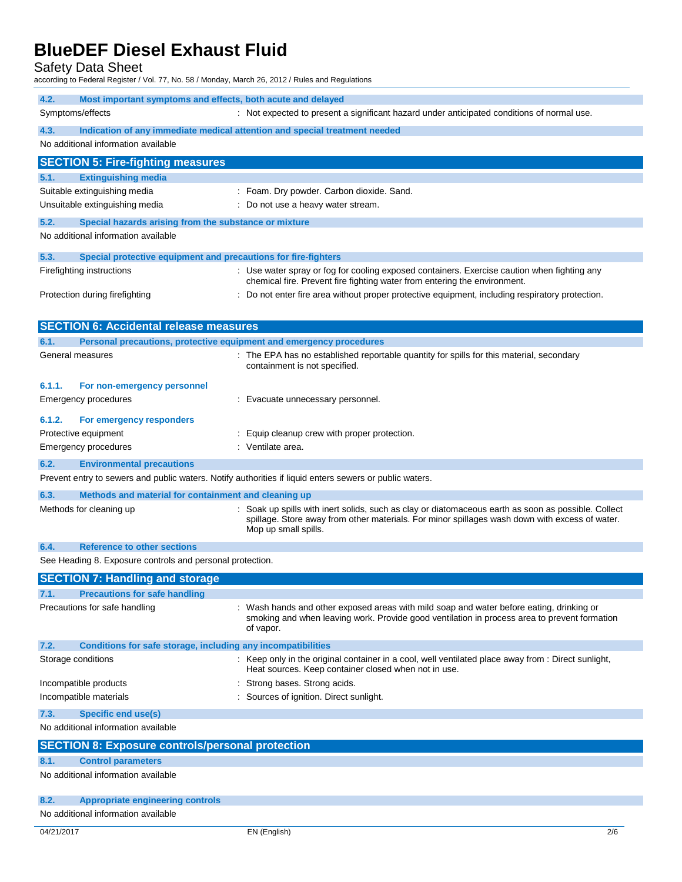Safety Data Sheet

according to Federal Register / Vol. 77, No. 58 / Monday, March 26, 2012 / Rules and Regulations

| 4.2.<br>Most important symptoms and effects, both acute and delayed                                                                                                                                                                                      |                                                                                                                                                                                                       |  |  |  |  |
|----------------------------------------------------------------------------------------------------------------------------------------------------------------------------------------------------------------------------------------------------------|-------------------------------------------------------------------------------------------------------------------------------------------------------------------------------------------------------|--|--|--|--|
| Symptoms/effects<br>: Not expected to present a significant hazard under anticipated conditions of normal use.                                                                                                                                           |                                                                                                                                                                                                       |  |  |  |  |
| 4.3.<br>Indication of any immediate medical attention and special treatment needed<br>No additional information available                                                                                                                                |                                                                                                                                                                                                       |  |  |  |  |
|                                                                                                                                                                                                                                                          |                                                                                                                                                                                                       |  |  |  |  |
|                                                                                                                                                                                                                                                          | <b>SECTION 5: Fire-fighting measures</b>                                                                                                                                                              |  |  |  |  |
| <b>Extinguishing media</b><br>5.1.                                                                                                                                                                                                                       |                                                                                                                                                                                                       |  |  |  |  |
| Suitable extinguishing media                                                                                                                                                                                                                             | : Foam. Dry powder. Carbon dioxide. Sand.                                                                                                                                                             |  |  |  |  |
| Unsuitable extinguishing media                                                                                                                                                                                                                           | : Do not use a heavy water stream.                                                                                                                                                                    |  |  |  |  |
| 5.2.                                                                                                                                                                                                                                                     | Special hazards arising from the substance or mixture                                                                                                                                                 |  |  |  |  |
| No additional information available                                                                                                                                                                                                                      |                                                                                                                                                                                                       |  |  |  |  |
| 5.3.                                                                                                                                                                                                                                                     | Special protective equipment and precautions for fire-fighters                                                                                                                                        |  |  |  |  |
| Firefighting instructions                                                                                                                                                                                                                                | : Use water spray or fog for cooling exposed containers. Exercise caution when fighting any<br>chemical fire. Prevent fire fighting water from entering the environment.                              |  |  |  |  |
| Protection during firefighting                                                                                                                                                                                                                           | : Do not enter fire area without proper protective equipment, including respiratory protection.                                                                                                       |  |  |  |  |
| <b>SECTION 6: Accidental release measures</b>                                                                                                                                                                                                            |                                                                                                                                                                                                       |  |  |  |  |
| 6.1.                                                                                                                                                                                                                                                     | Personal precautions, protective equipment and emergency procedures                                                                                                                                   |  |  |  |  |
| General measures                                                                                                                                                                                                                                         | : The EPA has no established reportable quantity for spills for this material, secondary                                                                                                              |  |  |  |  |
|                                                                                                                                                                                                                                                          | containment is not specified.                                                                                                                                                                         |  |  |  |  |
| 6.1.1.<br>For non-emergency personnel                                                                                                                                                                                                                    |                                                                                                                                                                                                       |  |  |  |  |
| <b>Emergency procedures</b>                                                                                                                                                                                                                              | : Evacuate unnecessary personnel.                                                                                                                                                                     |  |  |  |  |
| 6.1.2.<br>For emergency responders                                                                                                                                                                                                                       |                                                                                                                                                                                                       |  |  |  |  |
| Protective equipment                                                                                                                                                                                                                                     | : Equip cleanup crew with proper protection.                                                                                                                                                          |  |  |  |  |
| Emergency procedures                                                                                                                                                                                                                                     | : Ventilate area.                                                                                                                                                                                     |  |  |  |  |
| 6.2.<br><b>Environmental precautions</b>                                                                                                                                                                                                                 |                                                                                                                                                                                                       |  |  |  |  |
|                                                                                                                                                                                                                                                          | Prevent entry to sewers and public waters. Notify authorities if liquid enters sewers or public waters.                                                                                               |  |  |  |  |
| 6.3.                                                                                                                                                                                                                                                     | Methods and material for containment and cleaning up                                                                                                                                                  |  |  |  |  |
| : Soak up spills with inert solids, such as clay or diatomaceous earth as soon as possible. Collect<br>Methods for cleaning up<br>spillage. Store away from other materials. For minor spillages wash down with excess of water.<br>Mop up small spills. |                                                                                                                                                                                                       |  |  |  |  |
| <b>Reference to other sections</b><br>6.4.                                                                                                                                                                                                               |                                                                                                                                                                                                       |  |  |  |  |
|                                                                                                                                                                                                                                                          | See Heading 8. Exposure controls and personal protection.                                                                                                                                             |  |  |  |  |
| <b>SECTION 7: Handling and storage</b>                                                                                                                                                                                                                   |                                                                                                                                                                                                       |  |  |  |  |
| 7.1.<br><b>Precautions for safe handling</b>                                                                                                                                                                                                             |                                                                                                                                                                                                       |  |  |  |  |
| Precautions for safe handling                                                                                                                                                                                                                            | : Wash hands and other exposed areas with mild soap and water before eating, drinking or<br>smoking and when leaving work. Provide good ventilation in process area to prevent formation<br>of vapor. |  |  |  |  |
| 7.2.                                                                                                                                                                                                                                                     | Conditions for safe storage, including any incompatibilities                                                                                                                                          |  |  |  |  |
| Storage conditions                                                                                                                                                                                                                                       | : Keep only in the original container in a cool, well ventilated place away from : Direct sunlight,<br>Heat sources. Keep container closed when not in use.                                           |  |  |  |  |
| Incompatible products                                                                                                                                                                                                                                    | Strong bases. Strong acids.                                                                                                                                                                           |  |  |  |  |
| Incompatible materials                                                                                                                                                                                                                                   | : Sources of ignition. Direct sunlight.                                                                                                                                                               |  |  |  |  |
| 7.3.<br><b>Specific end use(s)</b>                                                                                                                                                                                                                       |                                                                                                                                                                                                       |  |  |  |  |
|                                                                                                                                                                                                                                                          | No additional information available                                                                                                                                                                   |  |  |  |  |
|                                                                                                                                                                                                                                                          | <b>SECTION 8: Exposure controls/personal protection</b>                                                                                                                                               |  |  |  |  |
| <b>Control parameters</b><br>8.1.                                                                                                                                                                                                                        |                                                                                                                                                                                                       |  |  |  |  |
| No additional information available                                                                                                                                                                                                                      |                                                                                                                                                                                                       |  |  |  |  |
| <b>Appropriate engineering controls</b><br>8.2.                                                                                                                                                                                                          |                                                                                                                                                                                                       |  |  |  |  |
| No additional information available                                                                                                                                                                                                                      |                                                                                                                                                                                                       |  |  |  |  |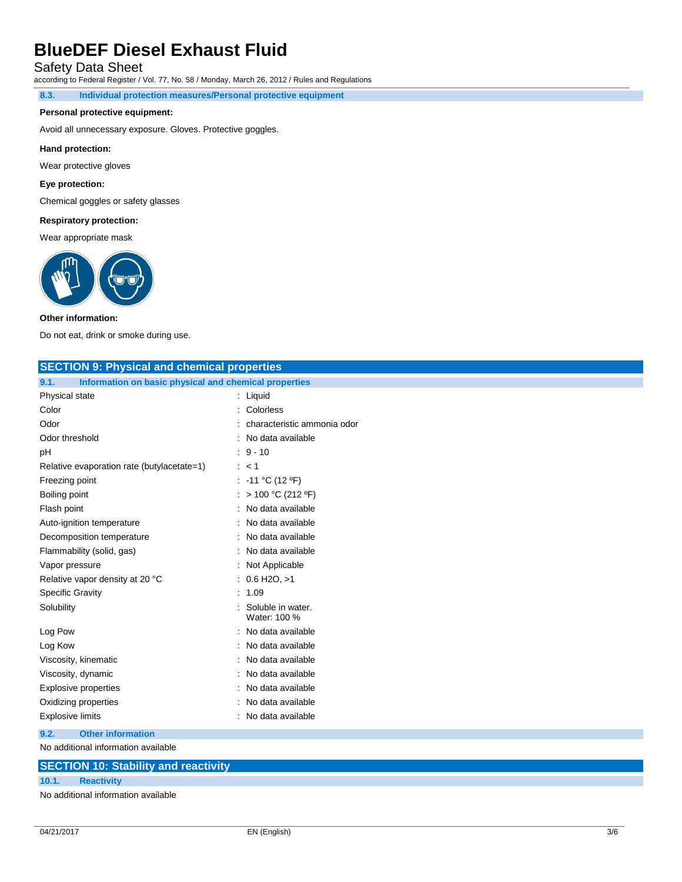Safety Data Sheet

according to Federal Register / Vol. 77, No. 58 / Monday, March 26, 2012 / Rules and Regulations

**8.3. Individual protection measures/Personal protective equipment**

### **Personal protective equipment:**

Avoid all unnecessary exposure. Gloves. Protective goggles.

#### **Hand protection:**

Wear protective gloves

### **Eye protection:**

Chemical goggles or safety glasses

### **Respiratory protection:**

Wear appropriate mask



### **Other information:**

Do not eat, drink or smoke during use.

| <b>SECTION 9: Physical and chemical properties</b>                                                                                                                                                                             |                                   |  |  |
|--------------------------------------------------------------------------------------------------------------------------------------------------------------------------------------------------------------------------------|-----------------------------------|--|--|
| Information on basic physical and chemical properties<br>9.1.                                                                                                                                                                  |                                   |  |  |
| Physical state                                                                                                                                                                                                                 | : Liquid                          |  |  |
| Color                                                                                                                                                                                                                          | Colorless                         |  |  |
| Odor                                                                                                                                                                                                                           | characteristic ammonia odor       |  |  |
| Odor threshold                                                                                                                                                                                                                 | No data available                 |  |  |
| рH                                                                                                                                                                                                                             | $: 9 - 10$                        |  |  |
| Relative evaporation rate (butylacetate=1)                                                                                                                                                                                     | : < 1                             |  |  |
| Freezing point                                                                                                                                                                                                                 | : -11 °C (12 °F)                  |  |  |
| Boiling point                                                                                                                                                                                                                  | > 100 °C (212 °F)                 |  |  |
| Flash point                                                                                                                                                                                                                    | No data available                 |  |  |
| Auto-ignition temperature                                                                                                                                                                                                      | No data available                 |  |  |
| Decomposition temperature                                                                                                                                                                                                      | No data available                 |  |  |
| Flammability (solid, gas)                                                                                                                                                                                                      | No data available                 |  |  |
| Vapor pressure                                                                                                                                                                                                                 | Not Applicable                    |  |  |
| Relative vapor density at 20 °C                                                                                                                                                                                                | $: 0.6$ H <sub>2O</sub> , $>1$    |  |  |
| <b>Specific Gravity</b>                                                                                                                                                                                                        | 1.09                              |  |  |
| Solubility                                                                                                                                                                                                                     | Soluble in water.<br>Water: 100 % |  |  |
| Log Pow                                                                                                                                                                                                                        | No data available                 |  |  |
| Log Kow                                                                                                                                                                                                                        | No data available                 |  |  |
| Viscosity, kinematic                                                                                                                                                                                                           | No data available                 |  |  |
| Viscosity, dynamic                                                                                                                                                                                                             | No data available                 |  |  |
| <b>Explosive properties</b>                                                                                                                                                                                                    | No data available                 |  |  |
| Oxidizing properties                                                                                                                                                                                                           | No data available                 |  |  |
| <b>Explosive limits</b>                                                                                                                                                                                                        | No data available                 |  |  |
| 9.2.<br><b>Other information</b>                                                                                                                                                                                               |                                   |  |  |
| Note that a statement of the fact of the fact of the fact of the fact of the fact of the fact of the fact of the fact of the fact of the fact of the fact of the fact of the fact of the fact of the fact of the fact of the f |                                   |  |  |

No additional information available

### **SECTION 10: Stability and reactivity**

### **10.1. Reactivity**

No additional information available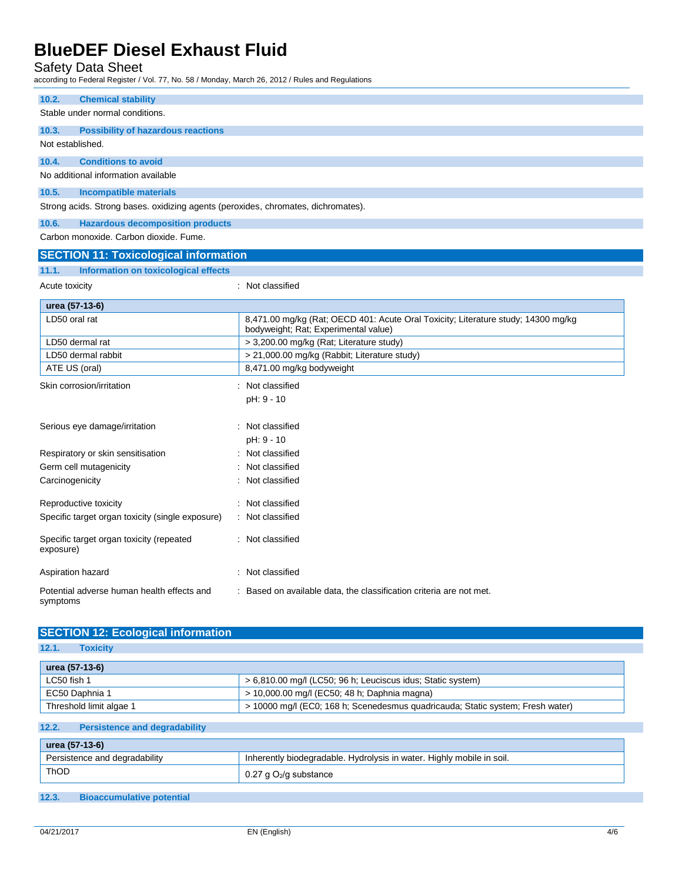Safety Data Sheet

according to Federal Register / Vol. 77, No. 58 / Monday, March 26, 2012 / Rules and Regulations

| 10.2.<br><b>Chemical stability</b>                                                |                                                                                                                           |  |  |  |  |
|-----------------------------------------------------------------------------------|---------------------------------------------------------------------------------------------------------------------------|--|--|--|--|
| Stable under normal conditions.                                                   |                                                                                                                           |  |  |  |  |
| 10.3.<br><b>Possibility of hazardous reactions</b>                                |                                                                                                                           |  |  |  |  |
| Not established.                                                                  |                                                                                                                           |  |  |  |  |
| 10.4.<br><b>Conditions to avoid</b>                                               |                                                                                                                           |  |  |  |  |
|                                                                                   |                                                                                                                           |  |  |  |  |
| No additional information available                                               |                                                                                                                           |  |  |  |  |
| 10.5.<br><b>Incompatible materials</b>                                            |                                                                                                                           |  |  |  |  |
| Strong acids. Strong bases. oxidizing agents (peroxides, chromates, dichromates). |                                                                                                                           |  |  |  |  |
| <b>Hazardous decomposition products</b><br>10.6.                                  |                                                                                                                           |  |  |  |  |
| Carbon monoxide, Carbon dioxide, Fume,                                            |                                                                                                                           |  |  |  |  |
| <b>SECTION 11: Toxicological information</b>                                      |                                                                                                                           |  |  |  |  |
| 11.1.<br>Information on toxicological effects                                     |                                                                                                                           |  |  |  |  |
| Acute toxicity                                                                    | : Not classified                                                                                                          |  |  |  |  |
|                                                                                   |                                                                                                                           |  |  |  |  |
| urea (57-13-6)                                                                    |                                                                                                                           |  |  |  |  |
| LD50 oral rat                                                                     | 8,471.00 mg/kg (Rat; OECD 401: Acute Oral Toxicity; Literature study; 14300 mg/kg<br>bodyweight; Rat; Experimental value) |  |  |  |  |
| LD50 dermal rat                                                                   | > 3,200.00 mg/kg (Rat; Literature study)                                                                                  |  |  |  |  |
| LD50 dermal rabbit                                                                | > 21,000.00 mg/kg (Rabbit; Literature study)                                                                              |  |  |  |  |
| ATE US (oral)                                                                     | 8,471.00 mg/kg bodyweight                                                                                                 |  |  |  |  |
| Skin corrosion/irritation                                                         | Not classified                                                                                                            |  |  |  |  |
|                                                                                   | pH: 9 - 10                                                                                                                |  |  |  |  |
|                                                                                   |                                                                                                                           |  |  |  |  |
| Serious eye damage/irritation                                                     | Not classified                                                                                                            |  |  |  |  |
|                                                                                   | pH: 9 - 10                                                                                                                |  |  |  |  |
| Respiratory or skin sensitisation                                                 | Not classified                                                                                                            |  |  |  |  |
| Germ cell mutagenicity                                                            | Not classified                                                                                                            |  |  |  |  |
| Carcinogenicity                                                                   | Not classified                                                                                                            |  |  |  |  |
|                                                                                   |                                                                                                                           |  |  |  |  |
| Reproductive toxicity                                                             | : Not classified                                                                                                          |  |  |  |  |
| Specific target organ toxicity (single exposure)                                  | : Not classified                                                                                                          |  |  |  |  |
| Specific target organ toxicity (repeated<br>exposure)                             | : Not classified                                                                                                          |  |  |  |  |
| Aspiration hazard                                                                 | : Not classified                                                                                                          |  |  |  |  |
| Potential adverse human health effects and<br>symptoms                            | : Based on available data, the classification criteria are not met.                                                       |  |  |  |  |

| 12.1.<br><b>Toxicity</b> |                                                                                |
|--------------------------|--------------------------------------------------------------------------------|
| urea (57-13-6)           |                                                                                |
| LC50 fish 1              | > 6,810.00 mg/l (LC50; 96 h; Leuciscus idus; Static system)                    |
| EC50 Daphnia 1           | > 10,000.00 mg/l (EC50; 48 h; Daphnia magna)                                   |
| Threshold limit algae 1  | > 10000 mg/l (EC0; 168 h; Scenedesmus quadricauda; Static system; Fresh water) |

| urea (57-13-6)                |                                                                       |  |
|-------------------------------|-----------------------------------------------------------------------|--|
| Persistence and degradability | Inherently biodegradable. Hydrolysis in water. Highly mobile in soil. |  |
| <b>ThOD</b>                   | 0.27 g O $_2$ /g substance                                            |  |

**12.3. Bioaccumulative potential**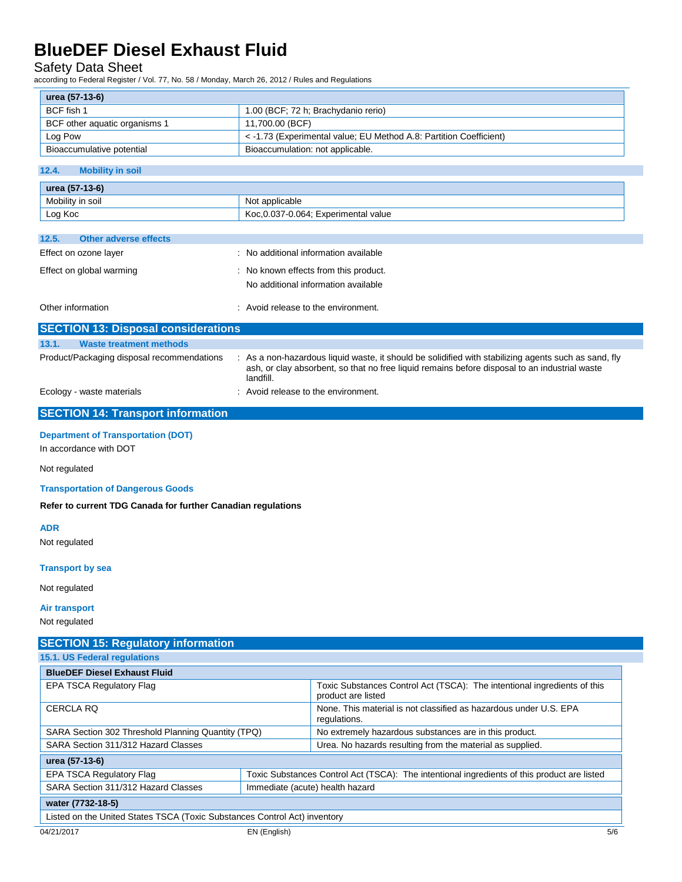## Safety Data Sheet

according to Federal Register / Vol. 77, No. 58 / Monday, March 26, 2012 / Rules and Regulations

| urea (57-13-6)                |                                                                    |  |
|-------------------------------|--------------------------------------------------------------------|--|
| BCF fish 1                    | 1.00 (BCF; 72 h; Brachydanio rerio)                                |  |
| BCF other aquatic organisms 1 | 11.700.00 (BCF)                                                    |  |
| Log Pow                       | < -1.73 (Experimental value; EU Method A.8: Partition Coefficient) |  |
| Bioaccumulative potential     | Bioaccumulation: not applicable.                                   |  |

### **12.4. Mobility in soil**

| urea (57-13-6)   |                                      |  |
|------------------|--------------------------------------|--|
| Mobility in soil | Not applicable                       |  |
| Log Koc          | Koc, 0.037-0.064; Experimental value |  |

| 12.5.             | <b>Other adverse effects</b> |                                                                              |
|-------------------|------------------------------|------------------------------------------------------------------------------|
|                   | Effect on ozone layer        | : No additional information available                                        |
|                   | Effect on global warming     | : No known effects from this product.<br>No additional information available |
| Other information |                              | : Avoid release to the environment.                                          |

|                           | <b>SECTION 13: Disposal considerations</b> |                                                                                                                                                                                                                    |
|---------------------------|--------------------------------------------|--------------------------------------------------------------------------------------------------------------------------------------------------------------------------------------------------------------------|
| 13.1.                     | Waste treatment methods                    |                                                                                                                                                                                                                    |
|                           | Product/Packaging disposal recommendations | : As a non-hazardous liquid waste, it should be solidified with stabilizing agents such as sand, fly<br>ash, or clay absorbent, so that no free liquid remains before disposal to an industrial waste<br>landfill. |
| Ecology - waste materials |                                            | : Avoid release to the environment.                                                                                                                                                                                |

## **SECTION 14: Transport information**

### **Department of Transportation (DOT)**

In accordance with DOT

### Not regulated

### **Transportation of Dangerous Goods**

**Refer to current TDG Canada for further Canadian regulations**

### **ADR**

Not regulated

### **Transport by sea**

Not regulated

## **Air transport**

Not regulated

| <b>SECTION 15: Regulatory information</b>                                 |  |                                                                                                |  |  |
|---------------------------------------------------------------------------|--|------------------------------------------------------------------------------------------------|--|--|
| 15.1. US Federal regulations                                              |  |                                                                                                |  |  |
| <b>BlueDEF Diesel Exhaust Fluid</b>                                       |  |                                                                                                |  |  |
| <b>EPA TSCA Regulatory Flag</b>                                           |  | Toxic Substances Control Act (TSCA): The intentional ingredients of this<br>product are listed |  |  |
| <b>CERCLA RQ</b>                                                          |  | None. This material is not classified as hazardous under U.S. EPA<br>regulations.              |  |  |
| SARA Section 302 Threshold Planning Quantity (TPQ)                        |  | No extremely hazardous substances are in this product.                                         |  |  |
| SARA Section 311/312 Hazard Classes                                       |  | Urea. No hazards resulting from the material as supplied.                                      |  |  |
| urea (57-13-6)                                                            |  |                                                                                                |  |  |
| <b>EPA TSCA Regulatory Flag</b>                                           |  | Toxic Substances Control Act (TSCA): The intentional ingredients of this product are listed    |  |  |
| SARA Section 311/312 Hazard Classes                                       |  | Immediate (acute) health hazard                                                                |  |  |
| water (7732-18-5)                                                         |  |                                                                                                |  |  |
| Listed on the United States TSCA (Toxic Substances Control Act) inventory |  |                                                                                                |  |  |